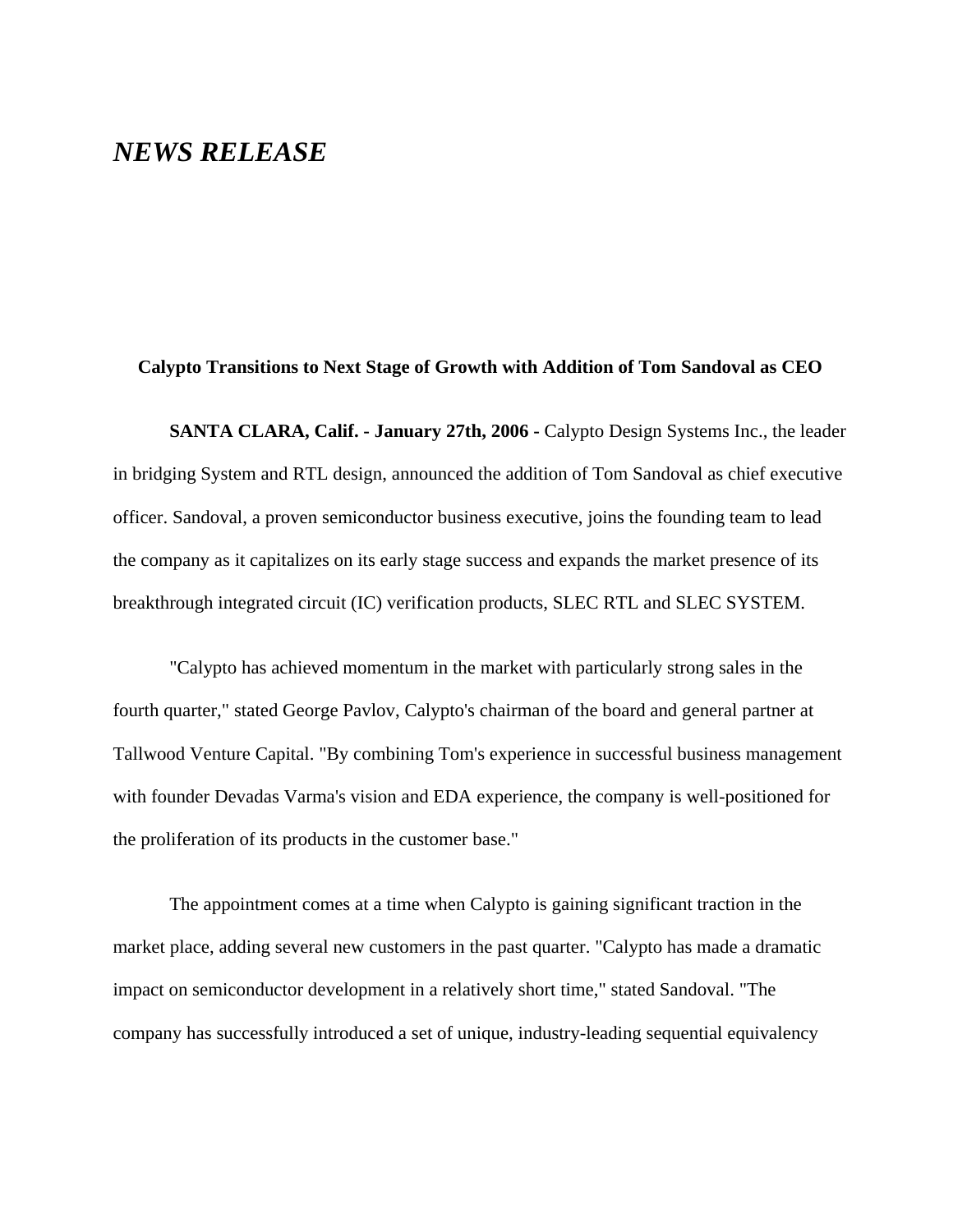## *NEWS RELEASE*

## **Calypto Transitions to Next Stage of Growth with Addition of Tom Sandoval as CEO**

**SANTA CLARA, Calif. - January 27th, 2006 -** Calypto Design Systems Inc., the leader in bridging System and RTL design, announced the addition of Tom Sandoval as chief executive officer. Sandoval, a proven semiconductor business executive, joins the founding team to lead the company as it capitalizes on its early stage success and expands the market presence of its breakthrough integrated circuit (IC) verification products, SLEC RTL and SLEC SYSTEM.

"Calypto has achieved momentum in the market with particularly strong sales in the fourth quarter," stated George Pavlov, Calypto's chairman of the board and general partner at Tallwood Venture Capital. "By combining Tom's experience in successful business management with founder Devadas Varma's vision and EDA experience, the company is well-positioned for the proliferation of its products in the customer base."

The appointment comes at a time when Calypto is gaining significant traction in the market place, adding several new customers in the past quarter. "Calypto has made a dramatic impact on semiconductor development in a relatively short time," stated Sandoval. "The company has successfully introduced a set of unique, industry-leading sequential equivalency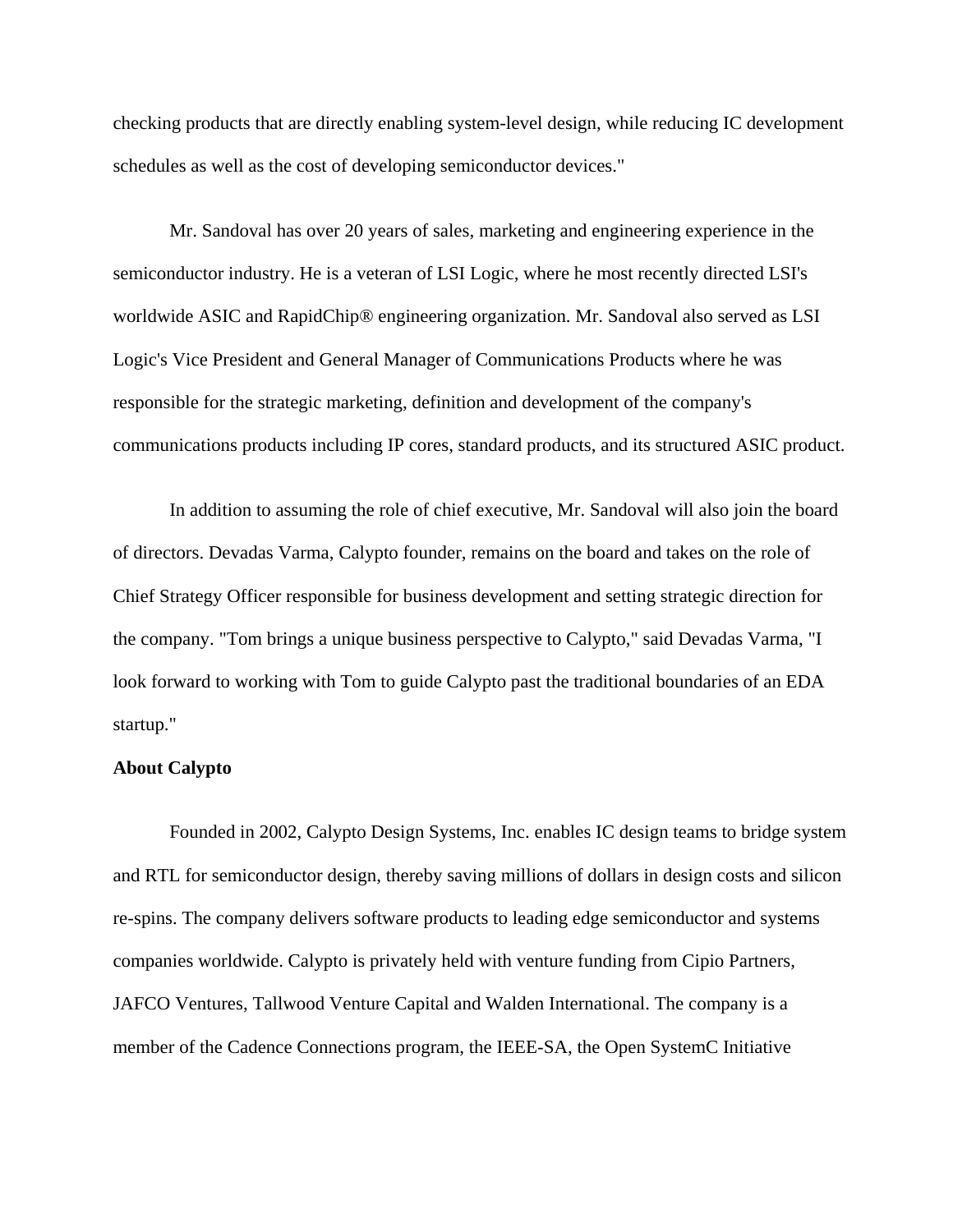checking products that are directly enabling system-level design, while reducing IC development schedules as well as the cost of developing semiconductor devices."

Mr. Sandoval has over 20 years of sales, marketing and engineering experience in the semiconductor industry. He is a veteran of LSI Logic, where he most recently directed LSI's worldwide ASIC and RapidChip® engineering organization. Mr. Sandoval also served as LSI Logic's Vice President and General Manager of Communications Products where he was responsible for the strategic marketing, definition and development of the company's communications products including IP cores, standard products, and its structured ASIC product.

In addition to assuming the role of chief executive, Mr. Sandoval will also join the board of directors. Devadas Varma, Calypto founder, remains on the board and takes on the role of Chief Strategy Officer responsible for business development and setting strategic direction for the company. "Tom brings a unique business perspective to Calypto," said Devadas Varma, "I look forward to working with Tom to guide Calypto past the traditional boundaries of an EDA startup."

## **About Calypto**

Founded in 2002, Calypto Design Systems, Inc. enables IC design teams to bridge system and RTL for semiconductor design, thereby saving millions of dollars in design costs and silicon re-spins. The company delivers software products to leading edge semiconductor and systems companies worldwide. Calypto is privately held with venture funding from Cipio Partners, JAFCO Ventures, Tallwood Venture Capital and Walden International. The company is a member of the Cadence Connections program, the IEEE-SA, the Open SystemC Initiative